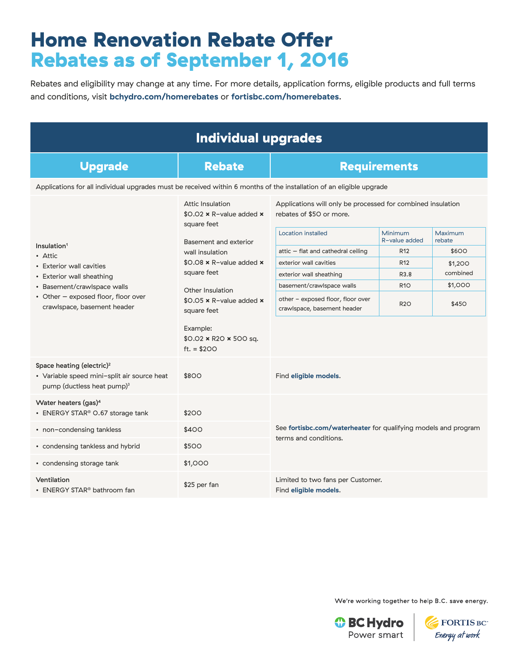## Home Renovation Rebate Offer Rebates as of September 1, 2016

Rebates and eligibility may change at any time. For more details, application forms, eligible products and full terms and conditions, visit **bchydro.com/homerebates** or **fortisbc.com/homerebates**.

| <b>Individual upgrades</b>                                                                                                                                                                       |                                                                                                                                                                                |                                                                                         |                          |                   |  |
|--------------------------------------------------------------------------------------------------------------------------------------------------------------------------------------------------|--------------------------------------------------------------------------------------------------------------------------------------------------------------------------------|-----------------------------------------------------------------------------------------|--------------------------|-------------------|--|
| <b>Upgrade</b>                                                                                                                                                                                   | <b>Rebate</b>                                                                                                                                                                  | <b>Requirements</b>                                                                     |                          |                   |  |
| Applications for all individual upgrades must be received within 6 months of the installation of an eligible upgrade                                                                             |                                                                                                                                                                                |                                                                                         |                          |                   |  |
| Insulation <sup>1</sup><br>• Attic<br>• Exterior wall cavities<br>• Exterior wall sheathing<br>• Basement/crawlspace walls<br>• Other - exposed floor, floor over<br>crawlspace, basement header | Attic Insulation<br>$$0.02 \times R$ -value added $\times$<br>square feet                                                                                                      | Applications will only be processed for combined insulation<br>rebates of \$50 or more. |                          |                   |  |
|                                                                                                                                                                                                  | Basement and exterior<br>wall insulation<br>$$0.08 \times R$ -value added $\times$<br>square feet<br>Other Insulation<br>$$0.05 \times R$ -value added $\times$<br>square feet | <b>Location installed</b>                                                               | Minimum<br>R-value added | Maximum<br>rebate |  |
|                                                                                                                                                                                                  |                                                                                                                                                                                | attic - flat and cathedral ceiling                                                      | R <sub>12</sub>          | \$600             |  |
|                                                                                                                                                                                                  |                                                                                                                                                                                | exterior wall cavities                                                                  | R <sub>12</sub>          | \$1,200           |  |
|                                                                                                                                                                                                  |                                                                                                                                                                                | exterior wall sheathing                                                                 | R3.8                     | combined          |  |
|                                                                                                                                                                                                  |                                                                                                                                                                                | basement/crawlspace walls                                                               | <b>R10</b>               | \$1,000           |  |
|                                                                                                                                                                                                  |                                                                                                                                                                                | other - exposed floor, floor over<br>crawlspace, basement header                        | <b>R2O</b>               | \$450             |  |
|                                                                                                                                                                                                  | Example:<br>$$0.02 \times R20 \times 500$ sq.<br>ft. $= $200$                                                                                                                  |                                                                                         |                          |                   |  |
| Space heating (electric) <sup>2</sup><br>• Variable speed mini-split air source heat<br>pump (ductless heat pump) <sup>3</sup>                                                                   | \$800                                                                                                                                                                          | Find eligible models.                                                                   |                          |                   |  |
| Water heaters (gas) <sup>4</sup><br>• ENERGY STAR® O.67 storage tank                                                                                                                             | \$200                                                                                                                                                                          |                                                                                         |                          |                   |  |
| • non-condensing tankless                                                                                                                                                                        | \$400                                                                                                                                                                          | See fortisbc.com/waterheater for qualifying models and program                          |                          |                   |  |
| • condensing tankless and hybrid                                                                                                                                                                 | \$500                                                                                                                                                                          | terms and conditions.                                                                   |                          |                   |  |
| • condensing storage tank                                                                                                                                                                        | \$1,000                                                                                                                                                                        |                                                                                         |                          |                   |  |
| Ventilation<br>• ENERGY STAR <sup>®</sup> bathroom fan                                                                                                                                           | \$25 per fan                                                                                                                                                                   | Limited to two fans per Customer.<br>Find eligible models.                              |                          |                   |  |

We're working together to help B.C. save energy.